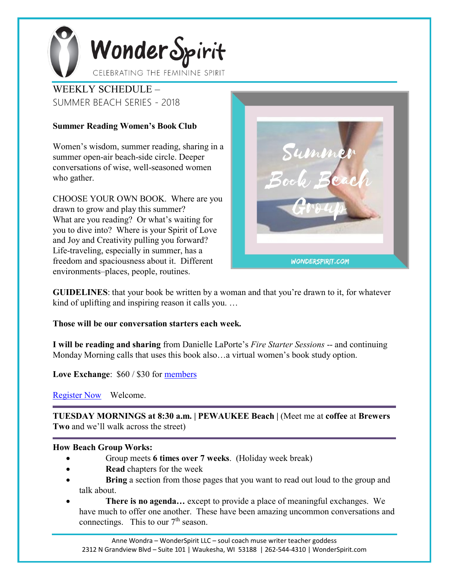

WEEKLY SCHEDULE – SUMMER BEACH SERIES - 2018

## **Summer Reading Women's Book Club**

Women's wisdom, summer reading, sharing in a summer open-air beach-side circle. Deeper conversations of wise, well-seasoned women who gather.

CHOOSE YOUR OWN BOOK. Where are you drawn to grow and play this summer? What are you reading? Or what's waiting for you to dive into? Where is your Spirit of Love and Joy and Creativity pulling you forward? Life-traveling, especially in summer, has a freedom and spaciousness about it. Different environments–places, people, routines.

Summel **WONDERSPIRIT.COM** 

**GUIDELINES**: that your book be written by a woman and that you're drawn to it, for whatever kind of uplifting and inspiring reason it calls you. …

## **Those will be our conversation starters each week.**

**I will be reading and sharing** from Danielle LaPorte's *Fire Starter Sessions* -- and continuing Monday Morning calls that uses this book also…a virtual women's book study option.

**Love Exchange**: \$60 / \$30 for [members](https://www.google.com/url?q=http%3A%2F%2Fwww.wonderspirit.com%2Fmemberships%2F&sa=D&usd=2&usg=AFQjCNGBADRWkkSMGPX0dHyjAfmX1vqB2g)

[Register Now](https://www.google.com/url?q=https%3A%2F%2Fwww.paypal.me%2Fwonderspirit&sa=D&usd=2&usg=AFQjCNErI3MdjXkrXIkhIKGnxhdapWPVVg) Welcome.

**TUESDAY MORNINGS at 8:30 a.m. | PEWAUKEE Beach |** (Meet me at **coffee** at **Brewers Two** and we'll walk across the street)

## **How Beach Group Works:**

- Group meets **6 times over 7 weeks**. (Holiday week break)
- **Read** chapters for the week
- **Bring** a section from those pages that you want to read out loud to the group and talk about.
- **There is no agenda…** except to provide a place of meaningful exchanges. We have much to offer one another. These have been amazing uncommon conversations and connectings. This to our  $7<sup>th</sup>$  season.